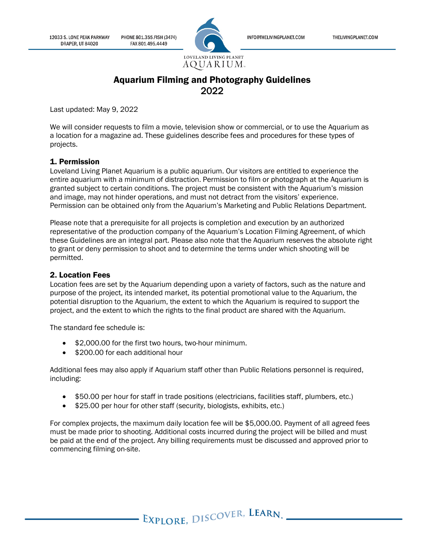PHONE 801.355.FISH (3474) FAX 801.495.4449



INFO@THELIVINGPLANET.COM

# Aquarium Filming and Photography Guidelines 2022

Last updated: May 9, 2022

We will consider requests to film a movie, television show or commercial, or to use the Aquarium as a location for a magazine ad. These guidelines describe fees and procedures for these types of projects.

# 1. Permission

Loveland Living Planet Aquarium is a public aquarium. Our visitors are entitled to experience the entire aquarium with a minimum of distraction. Permission to film or photograph at the Aquarium is granted subject to certain conditions. The project must be consistent with the Aquarium's mission and image, may not hinder operations, and must not detract from the visitors' experience. Permission can be obtained only from the Aquarium's Marketing and Public Relations Department.

Please note that a prerequisite for all projects is completion and execution by an authorized representative of the production company of the Aquarium's Location Filming Agreement, of which these Guidelines are an integral part. Please also note that the Aquarium reserves the absolute right to grant or deny permission to shoot and to determine the terms under which shooting will be permitted.

### 2. Location Fees

Location fees are set by the Aquarium depending upon a variety of factors, such as the nature and purpose of the project, its intended market, its potential promotional value to the Aquarium, the potential disruption to the Aquarium, the extent to which the Aquarium is required to support the project, and the extent to which the rights to the final product are shared with the Aquarium.

The standard fee schedule is:

- \$2,000.00 for the first two hours, two-hour minimum.
- \$200.00 for each additional hour

Additional fees may also apply if Aquarium staff other than Public Relations personnel is required, including:

- \$50.00 per hour for staff in trade positions (electricians, facilities staff, plumbers, etc.)
- \$25.00 per hour for other staff (security, biologists, exhibits, etc.)

For complex projects, the maximum daily location fee will be \$5,000.00. Payment of all agreed fees must be made prior to shooting. Additional costs incurred during the project will be billed and must be paid at the end of the project. Any billing requirements must be discussed and approved prior to commencing filming on-site.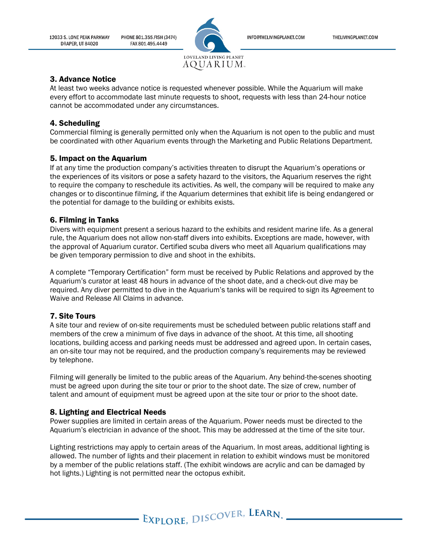INFO@THELIVINGPLANET.COM

12033 S. LONE PEAK PARKWAY **DRAPER, UT 84020** 

PHONE 801.355.FISH (3474) FAX 801.495.4449



### 3. Advance Notice

At least two weeks advance notice is requested whenever possible. While the Aquarium will make every effort to accommodate last minute requests to shoot, requests with less than 24-hour notice cannot be accommodated under any circumstances.

# 4. Scheduling

Commercial filming is generally permitted only when the Aquarium is not open to the public and must be coordinated with other Aquarium events through the Marketing and Public Relations Department.

# 5. Impact on the Aquarium

If at any time the production company's activities threaten to disrupt the Aquarium's operations or the experiences of its visitors or pose a safety hazard to the visitors, the Aquarium reserves the right to require the company to reschedule its activities. As well, the company will be required to make any changes or to discontinue filming, if the Aquarium determines that exhibit life is being endangered or the potential for damage to the building or exhibits exists.

# 6. Filming in Tanks

Divers with equipment present a serious hazard to the exhibits and resident marine life. As a general rule, the Aquarium does not allow non-staff divers into exhibits. Exceptions are made, however, with the approval of Aquarium curator. Certified scuba divers who meet all Aquarium qualifications may be given temporary permission to dive and shoot in the exhibits.

A complete "Temporary Certification" form must be received by Public Relations and approved by the Aquarium's curator at least 48 hours in advance of the shoot date, and a check-out dive may be required. Any diver permitted to dive in the Aquarium's tanks will be required to sign its Agreement to Waive and Release All Claims in advance.

# 7. Site Tours

A site tour and review of on-site requirements must be scheduled between public relations staff and members of the crew a minimum of five days in advance of the shoot. At this time, all shooting locations, building access and parking needs must be addressed and agreed upon. In certain cases, an on-site tour may not be required, and the production company's requirements may be reviewed by telephone.

Filming will generally be limited to the public areas of the Aquarium. Any behind-the-scenes shooting must be agreed upon during the site tour or prior to the shoot date. The size of crew, number of talent and amount of equipment must be agreed upon at the site tour or prior to the shoot date.

### 8. Lighting and Electrical Needs

Power supplies are limited in certain areas of the Aquarium. Power needs must be directed to the Aquarium's electrician in advance of the shoot. This may be addressed at the time of the site tour.

Lighting restrictions may apply to certain areas of the Aquarium. In most areas, additional lighting is allowed. The number of lights and their placement in relation to exhibit windows must be monitored by a member of the public relations staff. (The exhibit windows are acrylic and can be damaged by hot lights.) Lighting is not permitted near the octopus exhibit.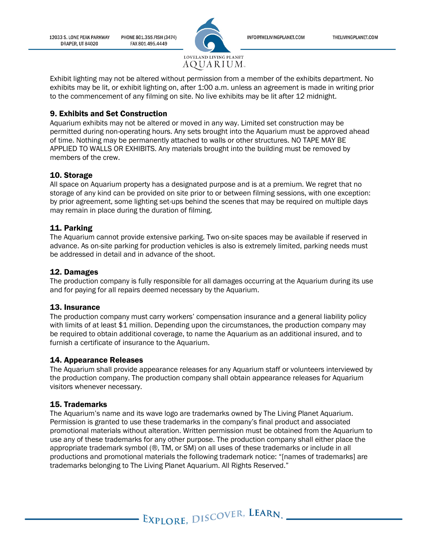PHONE 801.355.FISH (3474) 12033 S. LONE PEAK PARKWAY **DRAPER, UT 84020** FAX 801.495.4449



INFO@THELIVINGPLANET.COM

Exhibit lighting may not be altered without permission from a member of the exhibits department. No exhibits may be lit, or exhibit lighting on, after 1:00 a.m. unless an agreement is made in writing prior to the commencement of any filming on site. No live exhibits may be lit after 12 midnight.

### 9. Exhibits and Set Construction

Aquarium exhibits may not be altered or moved in any way. Limited set construction may be permitted during non-operating hours. Any sets brought into the Aquarium must be approved ahead of time. Nothing may be permanently attached to walls or other structures. NO TAPE MAY BE APPLIED TO WALLS OR EXHIBITS. Any materials brought into the building must be removed by members of the crew.

### 10. Storage

All space on Aquarium property has a designated purpose and is at a premium. We regret that no storage of any kind can be provided on site prior to or between filming sessions, with one exception: by prior agreement, some lighting set-ups behind the scenes that may be required on multiple days may remain in place during the duration of filming.

### 11. Parking

The Aquarium cannot provide extensive parking. Two on-site spaces may be available if reserved in advance. As on-site parking for production vehicles is also is extremely limited, parking needs must be addressed in detail and in advance of the shoot.

### 12. Damages

The production company is fully responsible for all damages occurring at the Aquarium during its use and for paying for all repairs deemed necessary by the Aquarium.

#### 13. Insurance

The production company must carry workers' compensation insurance and a general liability policy with limits of at least \$1 million. Depending upon the circumstances, the production company may be required to obtain additional coverage, to name the Aquarium as an additional insured, and to furnish a certificate of insurance to the Aquarium.

#### 14. Appearance Releases

The Aquarium shall provide appearance releases for any Aquarium staff or volunteers interviewed by the production company. The production company shall obtain appearance releases for Aquarium visitors whenever necessary.

#### 15. Trademarks

The Aquarium's name and its wave logo are trademarks owned by The Living Planet Aquarium. Permission is granted to use these trademarks in the company's final product and associated promotional materials without alteration. Written permission must be obtained from the Aquarium to use any of these trademarks for any other purpose. The production company shall either place the appropriate trademark symbol (®, TM, or SM) on all uses of these trademarks or include in all productions and promotional materials the following trademark notice: "[names of trademarks] are trademarks belonging to The Living Planet Aquarium. All Rights Reserved."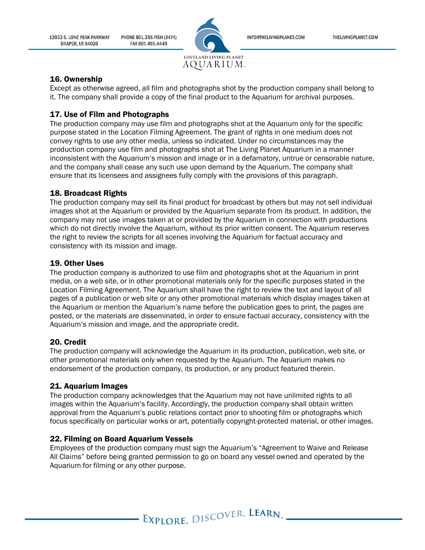PHONE 801.355.FISH (3474) 12033 S. LONE PEAK PARKWAY DRAPER. UT 84020 FAX 801.495.4449



INFO@THELIVINGPLANET.COM

# 16. Ownership

Except as otherwise agreed, all film and photographs shot by the production company shall belong to it. The company shall provide a copy of the final product to the Aquarium for archival purposes.

# 17. Use of Film and Photographs

The production company may use film and photographs shot at the Aquarium only for the specific purpose stated in the Location Filming Agreement. The grant of rights in one medium does not convey rights to use any other media, unless so indicated. Under no circumstances may the production company use film and photographs shot at The Living Planet Aquarium in a manner inconsistent with the Aquarium's mission and image or in a defamatory, untrue or censorable nature, and the company shall cease any such use upon demand by the Aquarium. The company shall ensure that its licensees and assignees fully comply with the provisions of this paragraph.

# 18. Broadcast Rights

The production company may sell its final product for broadcast by others but may not sell individual images shot at the Aquarium or provided by the Aquarium separate from its product. In addition, the company may not use images taken at or provided by the Aquarium in connection with productions which do not directly involve the Aquarium, without its prior written consent. The Aquarium reserves the right to review the scripts for all scenes involving the Aquarium for factual accuracy and consistency with its mission and image.

# 19. Other Uses

The production company is authorized to use film and photographs shot at the Aquarium in print media, on a web site, or in other promotional materials only for the specific purposes stated in the Location Filming Agreement. The Aquarium shall have the right to review the text and layout of all pages of a publication or web site or any other promotional materials which display images taken at the Aquarium or mention the Aquarium's name before the publication goes to print, the pages are posted, or the materials are disseminated, in order to ensure factual accuracy, consistency with the Aquarium's mission and image, and the appropriate credit.

# 20. Credit

The production company will acknowledge the Aquarium in its production, publication, web site, or other promotional materials only when requested by the Aquarium. The Aquarium makes no endorsement of the production company, its production, or any product featured therein.

# 21. Aquarium Images

The production company acknowledges that the Aquarium may not have unlimited rights to all images within the Aquarium's facility. Accordingly, the production company shall obtain written approval from the Aquarium's public relations contact prior to shooting film or photographs which focus specifically on particular works or art, potentially copyright-protected material, or other images.

# 22. Filming on Board Aquarium Vessels

Employees of the production company must sign the Aquarium's "Agreement to Waive and Release All Claims" before being granted permission to go on board any vessel owned and operated by the Aquarium for filming or any other purpose.